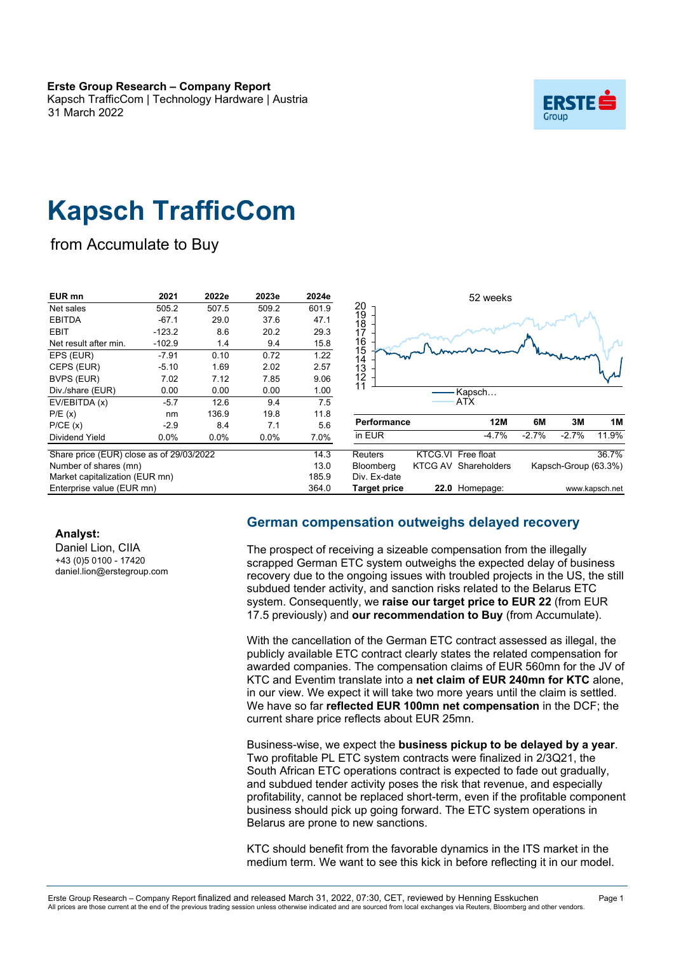Kapsch TrafficCom | Technology Hardware | Austria 31 March 2022



# **Kapsch TrafficCom**

from Accumulate to Buy

| EUR mn                                   | 2021     | 2022e   | 2023e   | 2024e | 52 weeks                                 |       |         |                      |                |
|------------------------------------------|----------|---------|---------|-------|------------------------------------------|-------|---------|----------------------|----------------|
| Net sales                                | 505.2    | 507.5   | 509.2   | 601.9 | 20                                       |       |         |                      |                |
| <b>EBITDA</b>                            | $-67.1$  | 29.0    | 37.6    | 47.1  | 19<br>18                                 |       |         |                      |                |
| <b>EBIT</b>                              | $-123.2$ | 8.6     | 20.2    | 29.3  | 17                                       |       |         |                      |                |
| Net result after min.                    | $-102.9$ | 1.4     | 9.4     | 15.8  | 16                                       |       |         |                      |                |
| EPS (EUR)                                | $-7.91$  | 0.10    | 0.72    | 1.22  | $\frac{15}{14}$                          |       |         |                      |                |
| CEPS (EUR)                               | $-5.10$  | 1.69    | 2.02    | 2.57  | 13                                       |       |         |                      |                |
| BVPS (EUR)                               | 7.02     | 7.12    | 7.85    | 9.06  | 12                                       |       |         |                      |                |
| Div./share (EUR)                         | 0.00     | 0.00    | 0.00    | 1.00  | 11<br>Kapsch                             |       |         |                      |                |
| EV/EBITDA (x)                            | $-5.7$   | 12.6    | 9.4     | 7.5   | ATX                                      |       |         |                      |                |
| P/E(x)                                   | nm       | 136.9   | 19.8    | 11.8  |                                          |       |         |                      |                |
| P/CE(x)                                  | $-2.9$   | 8.4     | 7.1     | 5.6   | <b>Performance</b>                       | 12M   | 6M      | 3M                   | 1M             |
| Dividend Yield                           | $0.0\%$  | $0.0\%$ | $0.0\%$ | 7.0%  | in EUR                                   | -4.7% | $-2.7%$ | $-2.7%$              | 11.9%          |
| Share price (EUR) close as of 29/03/2022 |          |         |         | 14.3  | KTCG.VI Free float<br><b>Reuters</b>     |       |         |                      | 36.7%          |
| Number of shares (mn)                    |          |         |         | 13.0  | <b>KTCG AV Shareholders</b><br>Bloomberg |       |         | Kapsch-Group (63.3%) |                |
| Market capitalization (EUR mn)           |          |         |         | 185.9 | Div. Ex-date                             |       |         |                      |                |
| Enterprise value (EUR mn)                |          |         |         | 364.0 | 22.0 Homepage:<br><b>Target price</b>    |       |         |                      | www.kapsch.net |

**Analyst:**

Daniel Lion, CIIA +43 (0)5 0100 - 17420 daniel.lion@erstegroup.com

#### **German compensation outweighs delayed recovery**

The prospect of receiving a sizeable compensation from the illegally scrapped German ETC system outweighs the expected delay of business recovery due to the ongoing issues with troubled projects in the US, the still subdued tender activity, and sanction risks related to the Belarus ETC system. Consequently, we **raise our target price to EUR 22** (from EUR 17.5 previously) and **our recommendation to Buy** (from Accumulate).

With the cancellation of the German ETC contract assessed as illegal, the publicly available ETC contract clearly states the related compensation for awarded companies. The compensation claims of EUR 560mn for the JV of KTC and Eventim translate into a **net claim of EUR 240mn for KTC** alone, in our view. We expect it will take two more years until the claim is settled. We have so far **reflected EUR 100mn net compensation** in the DCF; the current share price reflects about EUR 25mn.

Business-wise, we expect the **business pickup to be delayed by a year**. Two profitable PL ETC system contracts were finalized in 2/3Q21, the South African ETC operations contract is expected to fade out gradually, and subdued tender activity poses the risk that revenue, and especially profitability, cannot be replaced short-term, even if the profitable component business should pick up going forward. The ETC system operations in Belarus are prone to new sanctions.

KTC should benefit from the favorable dynamics in the ITS market in the medium term. We want to see this kick in before reflecting it in our model.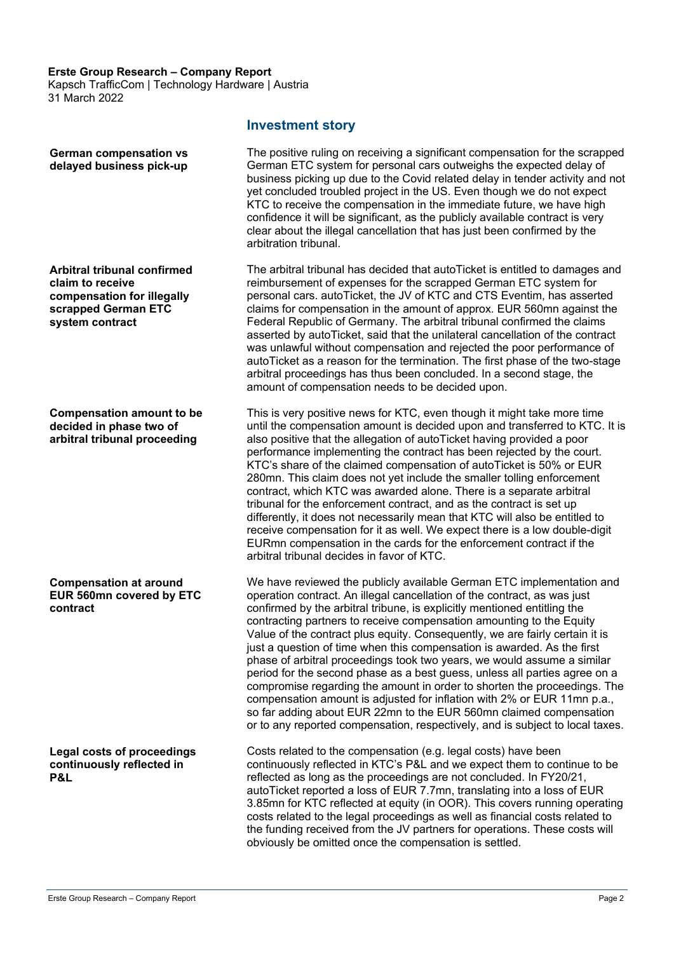Kapsch TrafficCom | Technology Hardware | Austria 31 March 2022

**German compensation vs delayed business pick-up**

**Arbitral tribunal confirmed claim to receive compensation for illegally scrapped German ETC system contract**

**Compensation amount to be decided in phase two of arbitral tribunal proceeding**

**Compensation at around EUR 560mn covered by ETC contract**

**Legal costs of proceedings continuously reflected in P&L**

#### **Investment story**

The positive ruling on receiving a significant compensation for the scrapped German ETC system for personal cars outweighs the expected delay of business picking up due to the Covid related delay in tender activity and not yet concluded troubled project in the US. Even though we do not expect KTC to receive the compensation in the immediate future, we have high confidence it will be significant, as the publicly available contract is very clear about the illegal cancellation that has just been confirmed by the arbitration tribunal.

The arbitral tribunal has decided that autoTicket is entitled to damages and reimbursement of expenses for the scrapped German ETC system for personal cars. autoTicket, the JV of KTC and CTS Eventim, has asserted claims for compensation in the amount of approx. EUR 560mn against the Federal Republic of Germany. The arbitral tribunal confirmed the claims asserted by autoTicket, said that the unilateral cancellation of the contract was unlawful without compensation and rejected the poor performance of autoTicket as a reason for the termination. The first phase of the two-stage arbitral proceedings has thus been concluded. In a second stage, the amount of compensation needs to be decided upon.

This is very positive news for KTC, even though it might take more time until the compensation amount is decided upon and transferred to KTC. It is also positive that the allegation of autoTicket having provided a poor performance implementing the contract has been rejected by the court. KTC's share of the claimed compensation of autoTicket is 50% or EUR 280mn. This claim does not yet include the smaller tolling enforcement contract, which KTC was awarded alone. There is a separate arbitral tribunal for the enforcement contract, and as the contract is set up differently, it does not necessarily mean that KTC will also be entitled to receive compensation for it as well. We expect there is a low double-digit EURmn compensation in the cards for the enforcement contract if the arbitral tribunal decides in favor of KTC.

We have reviewed the publicly available German ETC implementation and operation contract. An illegal cancellation of the contract, as was just confirmed by the arbitral tribune, is explicitly mentioned entitling the contracting partners to receive compensation amounting to the Equity Value of the contract plus equity. Consequently, we are fairly certain it is just a question of time when this compensation is awarded. As the first phase of arbitral proceedings took two years, we would assume a similar period for the second phase as a best guess, unless all parties agree on a compromise regarding the amount in order to shorten the proceedings. The compensation amount is adjusted for inflation with 2% or EUR 11mn p.a., so far adding about EUR 22mn to the EUR 560mn claimed compensation or to any reported compensation, respectively, and is subject to local taxes.

Costs related to the compensation (e.g. legal costs) have been continuously reflected in KTC's P&L and we expect them to continue to be reflected as long as the proceedings are not concluded. In FY20/21, autoTicket reported a loss of EUR 7.7mn, translating into a loss of EUR 3.85mn for KTC reflected at equity (in OOR). This covers running operating costs related to the legal proceedings as well as financial costs related to the funding received from the JV partners for operations. These costs will obviously be omitted once the compensation is settled.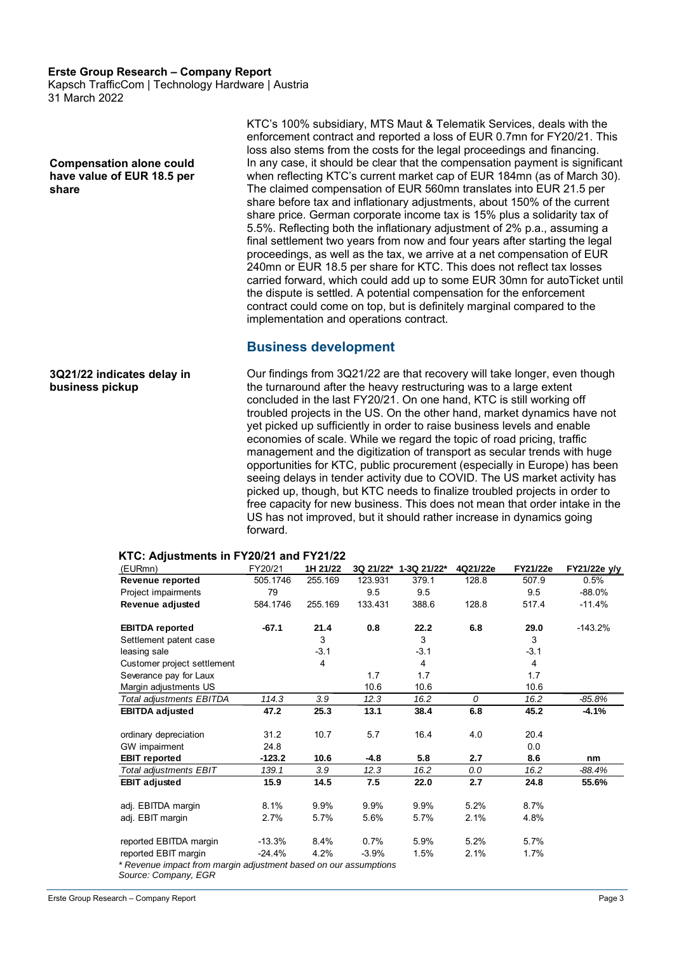Kapsch TrafficCom | Technology Hardware | Austria 31 March 2022

**Compensation alone could have value of EUR 18.5 per share**

**3Q21/22 indicates delay in** 

**business pickup**

KTC's 100% subsidiary, MTS Maut & Telematik Services, deals with the enforcement contract and reported a loss of EUR 0.7mn for FY20/21. This loss also stems from the costs for the legal proceedings and financing. In any case, it should be clear that the compensation payment is significant when reflecting KTC's current market cap of EUR 184mn (as of March 30). The claimed compensation of EUR 560mn translates into EUR 21.5 per share before tax and inflationary adjustments, about 150% of the current share price. German corporate income tax is 15% plus a solidarity tax of 5.5%. Reflecting both the inflationary adjustment of 2% p.a., assuming a final settlement two years from now and four years after starting the legal proceedings, as well as the tax, we arrive at a net compensation of EUR 240mn or EUR 18.5 per share for KTC. This does not reflect tax losses carried forward, which could add up to some EUR 30mn for autoTicket until the dispute is settled. A potential compensation for the enforcement contract could come on top, but is definitely marginal compared to the implementation and operations contract.

#### **Business development**

Our findings from 3Q21/22 are that recovery will take longer, even though the turnaround after the heavy restructuring was to a large extent concluded in the last FY20/21. On one hand, KTC is still working off troubled projects in the US. On the other hand, market dynamics have not yet picked up sufficiently in order to raise business levels and enable economies of scale. While we regard the topic of road pricing, traffic management and the digitization of transport as secular trends with huge opportunities for KTC, public procurement (especially in Europe) has been seeing delays in tender activity due to COVID. The US market activity has picked up, though, but KTC needs to finalize troubled projects in order to free capacity for new business. This does not mean that order intake in the US has not improved, but it should rather increase in dynamics going

#### **KTC: Adjustments in FY20/21 and FY21/22 Adjustments in FY21/22**

forward.

| (EURmn)                         | FY20/21  | 1H 21/22 | 3Q 21/22* | 1-3Q 21/22*    | 4Q21/22e | FY21/22e       | FY21/22e y/y |
|---------------------------------|----------|----------|-----------|----------------|----------|----------------|--------------|
| Revenue reported                | 505.1746 | 255.169  | 123.931   | 379.1          | 128.8    | 507.9          | 0.5%         |
| Project impairments             | 79       |          | 9.5       | 9.5            |          | 9.5            | $-88.0%$     |
| Revenue adjusted                | 584.1746 | 255.169  | 133.431   | 388.6          | 128.8    | 517.4          | $-11.4%$     |
| <b>EBITDA</b> reported          | $-67.1$  | 21.4     | 0.8       | 22.2           | 6.8      | 29.0           | $-143.2%$    |
| Settlement patent case          |          | 3        |           | 3              |          | 3              |              |
| leasing sale                    |          | $-3.1$   |           | $-3.1$         |          | $-3.1$         |              |
| Customer project settlement     |          | 4        |           | $\overline{4}$ |          | $\overline{4}$ |              |
| Severance pay for Laux          |          |          | 1.7       | 1.7            |          | 1.7            |              |
| Margin adjustments US           |          |          | 10.6      | 10.6           |          | 10.6           |              |
| <b>Total adjustments EBITDA</b> | 114.3    | 3.9      | 12.3      | 16.2           | $\theta$ | 16.2           | $-85.8%$     |
| <b>EBITDA adjusted</b>          | 47.2     | 25.3     | 13.1      | 38.4           | 6.8      | 45.2           | $-4.1%$      |
| ordinary depreciation           | 31.2     | 10.7     | 5.7       | 16.4           | 4.0      | 20.4           |              |
| GW impairment                   | 24.8     |          |           |                |          | 0.0            |              |
| <b>EBIT</b> reported            | -123.2   | 10.6     | -4.8      | 5.8            | 2.7      | 8.6            | nm           |
| <b>Total adjustments EBIT</b>   | 139.1    | 3.9      | 12.3      | 16.2           | 0.0      | 16.2           | $-88.4%$     |
| <b>EBIT adjusted</b>            | 15.9     | 14.5     | 7.5       | 22.0           | 2.7      | 24.8           | 55.6%        |
| adj. EBITDA margin              | 8.1%     | 9.9%     | 9.9%      | 9.9%           | 5.2%     | 8.7%           |              |
| adj. EBIT margin                | 2.7%     | 5.7%     | 5.6%      | 5.7%           | 2.1%     | 4.8%           |              |
| reported EBITDA margin          | $-13.3%$ | 8.4%     | 0.7%      | 5.9%           | 5.2%     | 5.7%           |              |
| reported EBIT margin            | $-24.4%$ | 4.2%     | $-3.9%$   | 1.5%           | 2.1%     | 1.7%           |              |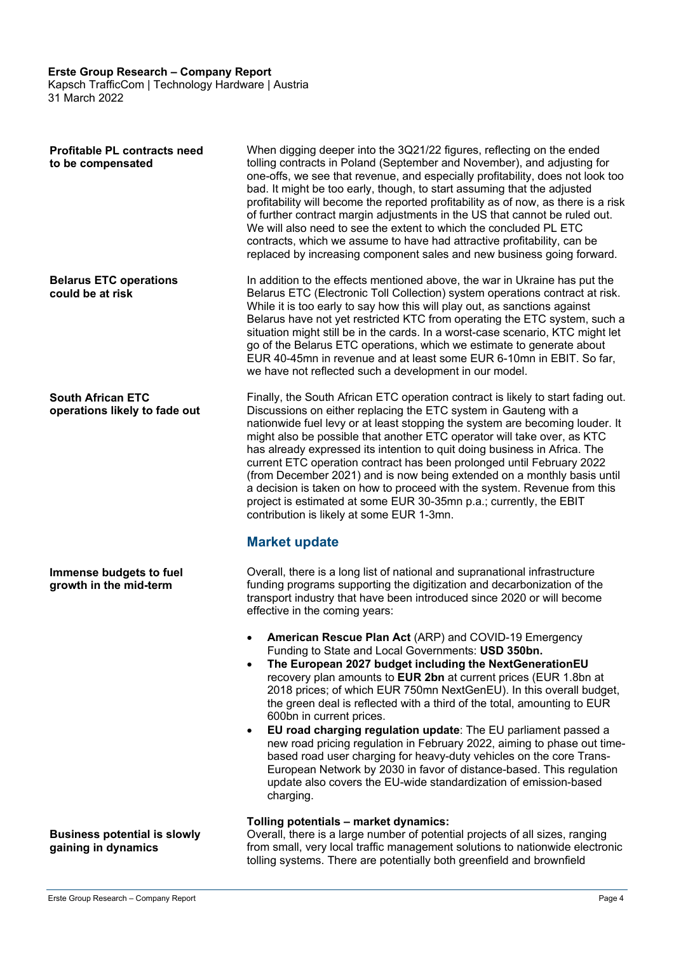Kapsch TrafficCom | Technology Hardware | Austria 31 March 2022

| <b>Profitable PL contracts need</b><br>to be compensated   | When digging deeper into the 3Q21/22 figures, reflecting on the ended<br>tolling contracts in Poland (September and November), and adjusting for<br>one-offs, we see that revenue, and especially profitability, does not look too<br>bad. It might be too early, though, to start assuming that the adjusted<br>profitability will become the reported profitability as of now, as there is a risk<br>of further contract margin adjustments in the US that cannot be ruled out.<br>We will also need to see the extent to which the concluded PL ETC<br>contracts, which we assume to have had attractive profitability, can be<br>replaced by increasing component sales and new business going forward.                                                                                                        |
|------------------------------------------------------------|--------------------------------------------------------------------------------------------------------------------------------------------------------------------------------------------------------------------------------------------------------------------------------------------------------------------------------------------------------------------------------------------------------------------------------------------------------------------------------------------------------------------------------------------------------------------------------------------------------------------------------------------------------------------------------------------------------------------------------------------------------------------------------------------------------------------|
| <b>Belarus ETC operations</b><br>could be at risk          | In addition to the effects mentioned above, the war in Ukraine has put the<br>Belarus ETC (Electronic Toll Collection) system operations contract at risk.<br>While it is too early to say how this will play out, as sanctions against<br>Belarus have not yet restricted KTC from operating the ETC system, such a<br>situation might still be in the cards. In a worst-case scenario, KTC might let<br>go of the Belarus ETC operations, which we estimate to generate about<br>EUR 40-45mn in revenue and at least some EUR 6-10mn in EBIT. So far,<br>we have not reflected such a development in our model.                                                                                                                                                                                                  |
| <b>South African ETC</b><br>operations likely to fade out  | Finally, the South African ETC operation contract is likely to start fading out.<br>Discussions on either replacing the ETC system in Gauteng with a<br>nationwide fuel levy or at least stopping the system are becoming louder. It<br>might also be possible that another ETC operator will take over, as KTC<br>has already expressed its intention to quit doing business in Africa. The<br>current ETC operation contract has been prolonged until February 2022<br>(from December 2021) and is now being extended on a monthly basis until<br>a decision is taken on how to proceed with the system. Revenue from this<br>project is estimated at some EUR 30-35mn p.a.; currently, the EBIT<br>contribution is likely at some EUR 1-3mn.<br><b>Market update</b>                                            |
| Immense budgets to fuel<br>growth in the mid-term          | Overall, there is a long list of national and supranational infrastructure<br>funding programs supporting the digitization and decarbonization of the<br>transport industry that have been introduced since 2020 or will become<br>effective in the coming years:                                                                                                                                                                                                                                                                                                                                                                                                                                                                                                                                                  |
|                                                            | American Rescue Plan Act (ARP) and COVID-19 Emergency<br>Funding to State and Local Governments: USD 350bn.<br>The European 2027 budget including the NextGenerationEU<br>recovery plan amounts to EUR 2bn at current prices (EUR 1.8bn at<br>2018 prices; of which EUR 750mn NextGenEU). In this overall budget,<br>the green deal is reflected with a third of the total, amounting to EUR<br>600bn in current prices.<br>EU road charging regulation update: The EU parliament passed a<br>$\bullet$<br>new road pricing regulation in February 2022, aiming to phase out time-<br>based road user charging for heavy-duty vehicles on the core Trans-<br>European Network by 2030 in favor of distance-based. This regulation<br>update also covers the EU-wide standardization of emission-based<br>charging. |
| <b>Business potential is slowly</b><br>gaining in dynamics | Tolling potentials - market dynamics:<br>Overall, there is a large number of potential projects of all sizes, ranging<br>from small, very local traffic management solutions to nationwide electronic<br>tolling systems. There are potentially both greenfield and brownfield                                                                                                                                                                                                                                                                                                                                                                                                                                                                                                                                     |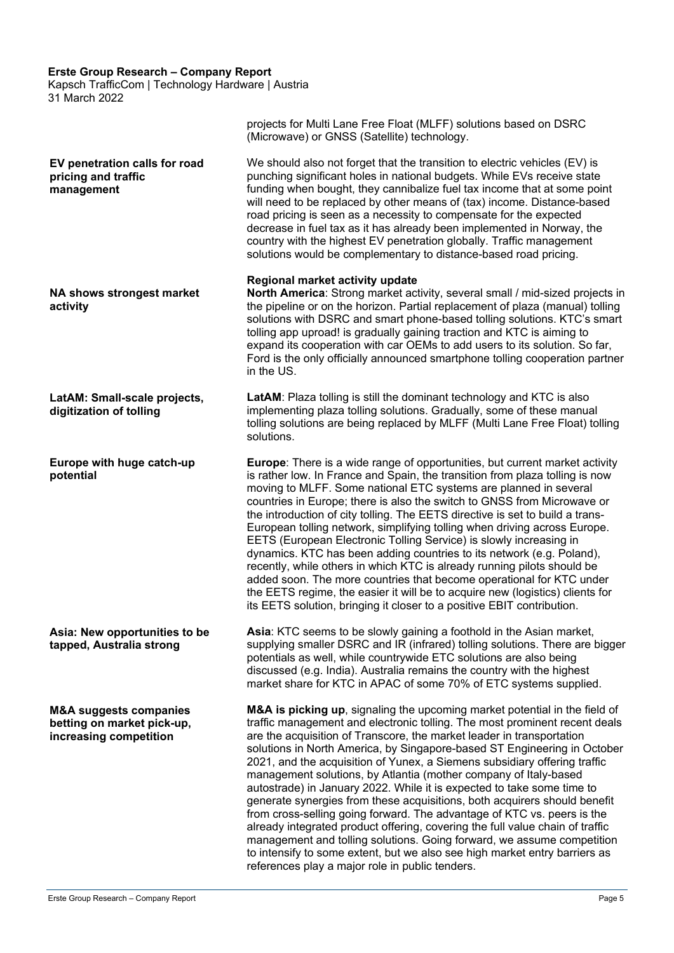Kapsch TrafficCom | Technology Hardware | Austria 31 March 2022

|                                                                                           | projects for Multi Lane Free Float (MLFF) solutions based on DSRC<br>(Microwave) or GNSS (Satellite) technology.                                                                                                                                                                                                                                                                                                                                                                                                                                                                                                                                                                                                                                                                                                                                                                                                                             |
|-------------------------------------------------------------------------------------------|----------------------------------------------------------------------------------------------------------------------------------------------------------------------------------------------------------------------------------------------------------------------------------------------------------------------------------------------------------------------------------------------------------------------------------------------------------------------------------------------------------------------------------------------------------------------------------------------------------------------------------------------------------------------------------------------------------------------------------------------------------------------------------------------------------------------------------------------------------------------------------------------------------------------------------------------|
| EV penetration calls for road<br>pricing and traffic<br>management                        | We should also not forget that the transition to electric vehicles (EV) is<br>punching significant holes in national budgets. While EVs receive state<br>funding when bought, they cannibalize fuel tax income that at some point<br>will need to be replaced by other means of (tax) income. Distance-based<br>road pricing is seen as a necessity to compensate for the expected<br>decrease in fuel tax as it has already been implemented in Norway, the<br>country with the highest EV penetration globally. Traffic management<br>solutions would be complementary to distance-based road pricing.                                                                                                                                                                                                                                                                                                                                     |
| <b>NA shows strongest market</b><br>activity                                              | Regional market activity update<br>North America: Strong market activity, several small / mid-sized projects in<br>the pipeline or on the horizon. Partial replacement of plaza (manual) tolling<br>solutions with DSRC and smart phone-based tolling solutions. KTC's smart<br>tolling app uproad! is gradually gaining traction and KTC is aiming to<br>expand its cooperation with car OEMs to add users to its solution. So far,<br>Ford is the only officially announced smartphone tolling cooperation partner<br>in the US.                                                                                                                                                                                                                                                                                                                                                                                                           |
| LatAM: Small-scale projects,<br>digitization of tolling                                   | LatAM: Plaza tolling is still the dominant technology and KTC is also<br>implementing plaza tolling solutions. Gradually, some of these manual<br>tolling solutions are being replaced by MLFF (Multi Lane Free Float) tolling<br>solutions.                                                                                                                                                                                                                                                                                                                                                                                                                                                                                                                                                                                                                                                                                                 |
| Europe with huge catch-up<br>potential                                                    | <b>Europe:</b> There is a wide range of opportunities, but current market activity<br>is rather low. In France and Spain, the transition from plaza tolling is now<br>moving to MLFF. Some national ETC systems are planned in several<br>countries in Europe; there is also the switch to GNSS from Microwave or<br>the introduction of city tolling. The EETS directive is set to build a trans-<br>European tolling network, simplifying tolling when driving across Europe.<br>EETS (European Electronic Tolling Service) is slowly increasing in<br>dynamics. KTC has been adding countries to its network (e.g. Poland),<br>recently, while others in which KTC is already running pilots should be<br>added soon. The more countries that become operational for KTC under<br>the EETS regime, the easier it will be to acquire new (logistics) clients for<br>its EETS solution, bringing it closer to a positive EBIT contribution. |
| Asia: New opportunities to be<br>tapped, Australia strong                                 | Asia: KTC seems to be slowly gaining a foothold in the Asian market,<br>supplying smaller DSRC and IR (infrared) tolling solutions. There are bigger<br>potentials as well, while countrywide ETC solutions are also being<br>discussed (e.g. India). Australia remains the country with the highest<br>market share for KTC in APAC of some 70% of ETC systems supplied.                                                                                                                                                                                                                                                                                                                                                                                                                                                                                                                                                                    |
| <b>M&amp;A suggests companies</b><br>betting on market pick-up,<br>increasing competition | M&A is picking up, signaling the upcoming market potential in the field of<br>traffic management and electronic tolling. The most prominent recent deals<br>are the acquisition of Transcore, the market leader in transportation<br>solutions in North America, by Singapore-based ST Engineering in October<br>2021, and the acquisition of Yunex, a Siemens subsidiary offering traffic<br>management solutions, by Atlantia (mother company of Italy-based<br>autostrade) in January 2022. While it is expected to take some time to<br>generate synergies from these acquisitions, both acquirers should benefit<br>from cross-selling going forward. The advantage of KTC vs. peers is the<br>already integrated product offering, covering the full value chain of traffic<br>management and tolling solutions. Going forward, we assume competition<br>to intensify to some extent, but we also see high market entry barriers as    |

references play a major role in public tenders.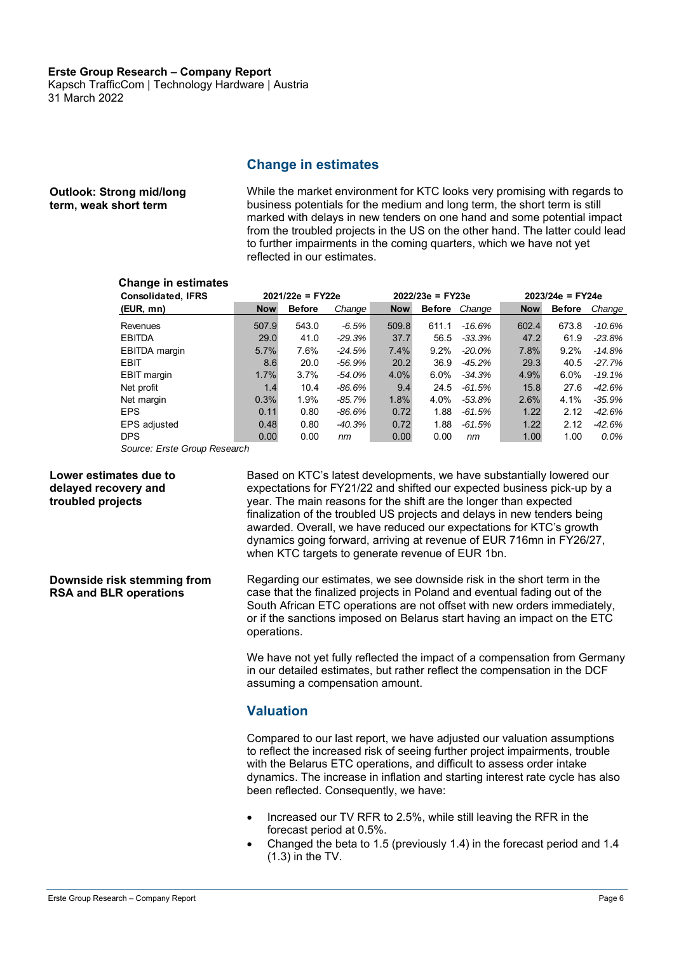Kapsch TrafficCom | Technology Hardware | Austria 31 March 2022

#### **Change in estimates**

#### While the market environment for KTC looks very promising with regards to business potentials for the medium and long term, the short term is still marked with delays in new tenders on one hand and some potential impact from the troubled projects in the US on the other hand. The latter could lead to further impairments in the coming quarters, which we have not yet reflected in our estimates. **Outlook: Strong mid/long term, weak short term**

### **Change in estimates Change in estimates**

| <b>Change in estimates</b><br><b>Consolidated, IFRS</b> | $2021/22e = FY22e$ |               |          |            | $2022/23e = FY23e$ |           | $2023/24e = FY24e$ |               |          |  |
|---------------------------------------------------------|--------------------|---------------|----------|------------|--------------------|-----------|--------------------|---------------|----------|--|
| (EUR, mn)                                               | <b>Now</b>         | <b>Before</b> | Change   | <b>Now</b> | Before             | Change    | <b>Now</b>         | <b>Before</b> | Change   |  |
| Revenues                                                | 507.9              | 543.0         | $-6.5\%$ | 509.8      | 611.1              | -16.6%    | 602.4              | 673.8         | -10.6%   |  |
| <b>EBITDA</b>                                           | 29.0               | 41.0          | $-29.3%$ | 37.7       | 56.5               | $-33.3%$  | 47.2               | 61.9          | $-23.8%$ |  |
| <b>EBITDA</b> margin                                    | 5.7%               | 7.6%          | -24.5%   | 7.4%       | 9.2%               | $-20.0\%$ | 7.8%               | 9.2%          | $-14.8%$ |  |
| EBIT                                                    | 8.6                | 20.0          | -56.9%   | 20.2       | 36.9               | $-45.2\%$ | 29.3               | 40.5          | -27.7%   |  |
| <b>EBIT</b> margin                                      | 1.7%               | 3.7%          | -54.0%   | 4.0%       | 6.0%               | $-34.3%$  | 4.9%               | $6.0\%$       | $-19.1%$ |  |
| Net profit                                              | 1.4                | 10.4          | -86.6%   | 9.4        | 24.5               | $-61.5%$  | 15.8               | 27.6          | $-42.6%$ |  |
| Net margin                                              | 0.3%               | 1.9%          | -85.7%   | 1.8%       | 4.0%               | -53.8%    | 2.6%               | 4.1%          | $-35.9%$ |  |
| <b>EPS</b>                                              | 0.11               | 0.80          | -86.6%   | 0.72       | 1.88               | $-61.5%$  | 1.22               | 2.12          | $-42.6%$ |  |
| EPS adjusted                                            | 0.48               | 0.80          | $-40.3%$ | 0.72       | 1.88               | $-61.5%$  | 1.22               | 2.12          | -42.6%   |  |
| <b>DPS</b>                                              | 0.00               | 0.00          | nm       | 0.00       | 0.00               | nm        | 1.00               | 1.00          | 0.0%     |  |
| Source: Erste Group Research                            |                    |               |          |            |                    |           |                    |               |          |  |

*Source: Erste Group Research*

#### **Lower estimates due to delayed recovery and troubled projects**

Based on KTC's latest developments, we have substantially lowered our expectations for FY21/22 and shifted our expected business pick-up by a year. The main reasons for the shift are the longer than expected finalization of the troubled US projects and delays in new tenders being awarded. Overall, we have reduced our expectations for KTC's growth dynamics going forward, arriving at revenue of EUR 716mn in FY26/27, when KTC targets to generate revenue of EUR 1bn.

**Downside risk stemming from RSA and BLR operations**

Regarding our estimates, we see downside risk in the short term in the case that the finalized projects in Poland and eventual fading out of the South African ETC operations are not offset with new orders immediately, or if the sanctions imposed on Belarus start having an impact on the ETC operations.

We have not yet fully reflected the impact of a compensation from Germany in our detailed estimates, but rather reflect the compensation in the DCF assuming a compensation amount.

#### **Valuation**

Compared to our last report, we have adjusted our valuation assumptions to reflect the increased risk of seeing further project impairments, trouble with the Belarus ETC operations, and difficult to assess order intake dynamics. The increase in inflation and starting interest rate cycle has also been reflected. Consequently, we have:

- Increased our TV RFR to 2.5%, while still leaving the RFR in the forecast period at 0.5%.
- Changed the beta to 1.5 (previously 1.4) in the forecast period and 1.4 (1.3) in the TV.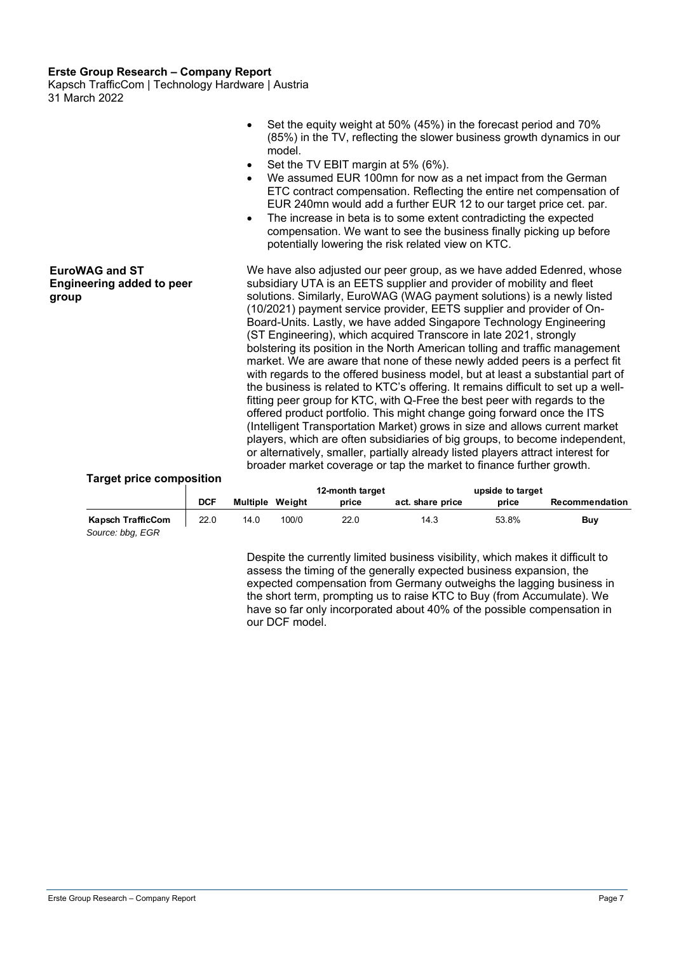Kapsch TrafficCom | Technology Hardware | Austria 31 March 2022

|                                                                    | Set the equity weight at 50% (45%) in the forecast period and 70%<br>(85%) in the TV, reflecting the slower business growth dynamics in our<br>model.<br>Set the TV EBIT margin at 5% (6%).<br>We assumed EUR 100mn for now as a net impact from the German<br>$\bullet$<br>ETC contract compensation. Reflecting the entire net compensation of<br>EUR 240mn would add a further EUR 12 to our target price cet. par.<br>The increase in beta is to some extent contradicting the expected<br>$\bullet$<br>compensation. We want to see the business finally picking up before<br>potentially lowering the risk related view on KTC.                                                                                                                                                                                                                                                                                                                                                                                                                                                                                                                                                                                                                                 |
|--------------------------------------------------------------------|-----------------------------------------------------------------------------------------------------------------------------------------------------------------------------------------------------------------------------------------------------------------------------------------------------------------------------------------------------------------------------------------------------------------------------------------------------------------------------------------------------------------------------------------------------------------------------------------------------------------------------------------------------------------------------------------------------------------------------------------------------------------------------------------------------------------------------------------------------------------------------------------------------------------------------------------------------------------------------------------------------------------------------------------------------------------------------------------------------------------------------------------------------------------------------------------------------------------------------------------------------------------------|
| <b>EuroWAG and ST</b><br><b>Engineering added to peer</b><br>group | We have also adjusted our peer group, as we have added Edenred, whose<br>subsidiary UTA is an EETS supplier and provider of mobility and fleet<br>solutions. Similarly, EuroWAG (WAG payment solutions) is a newly listed<br>(10/2021) payment service provider, EETS supplier and provider of On-<br>Board-Units. Lastly, we have added Singapore Technology Engineering<br>(ST Engineering), which acquired Transcore in late 2021, strongly<br>bolstering its position in the North American tolling and traffic management<br>market. We are aware that none of these newly added peers is a perfect fit<br>with regards to the offered business model, but at least a substantial part of<br>the business is related to KTC's offering. It remains difficult to set up a well-<br>fitting peer group for KTC, with Q-Free the best peer with regards to the<br>offered product portfolio. This might change going forward once the ITS<br>(Intelligent Transportation Market) grows in size and allows current market<br>players, which are often subsidiaries of big groups, to become independent,<br>or alternatively, smaller, partially already listed players attract interest for<br>broader market coverage or tap the market to finance further growth. |

#### **Target price composition**

| Target price composition                     |            |                        |       | 12-month target |                  | upside to target |                |
|----------------------------------------------|------------|------------------------|-------|-----------------|------------------|------------------|----------------|
|                                              | <b>DCF</b> | <b>Multiple Weight</b> |       | price           | act. share price | price            | Recommendation |
| <b>Kapsch TrafficCom</b><br>Source: bbg, EGR | 22.0       | 14.0                   | 100/0 | 22.0            | 14.3             | 53.8%            | Buy            |

Despite the currently limited business visibility, which makes it difficult to assess the timing of the generally expected business expansion, the expected compensation from Germany outweighs the lagging business in the short term, prompting us to raise KTC to Buy (from Accumulate). We have so far only incorporated about 40% of the possible compensation in our DCF model.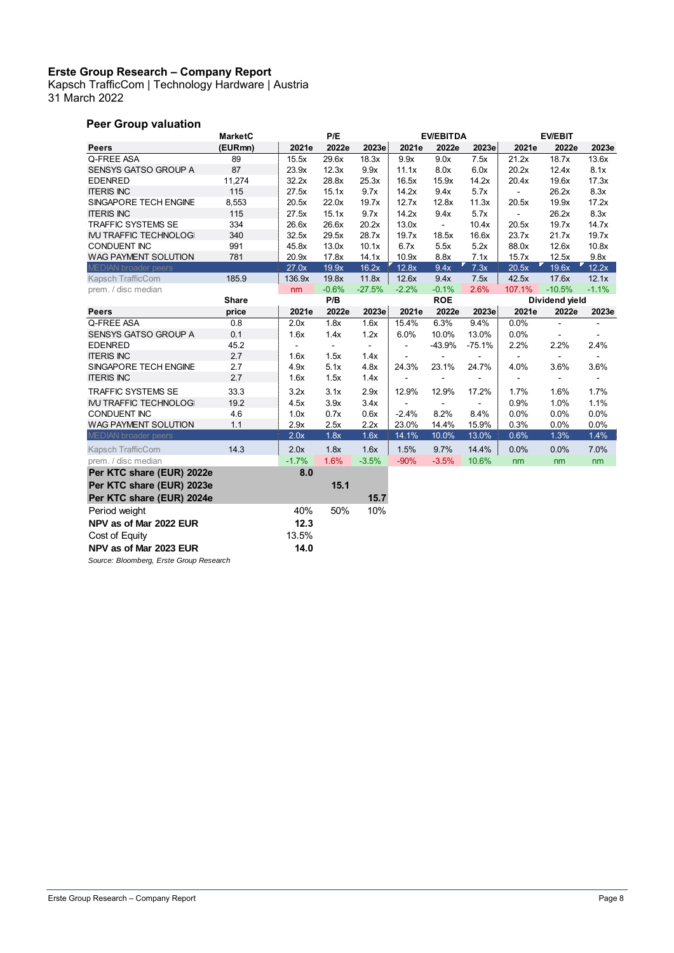Kapsch TrafficCom | Technology Hardware | Austria 31 March 2022

### **Peer Group valuation**

|                                         | <b>MarketC</b> |                | P/E            |                |                | <b>EV/EBITDA</b> |                |                | <b>EV/EBIT</b> |                |
|-----------------------------------------|----------------|----------------|----------------|----------------|----------------|------------------|----------------|----------------|----------------|----------------|
| <b>Peers</b>                            | (EURmn)        | 2021e          | 2022e          | 2023e          | 2021e          | 2022e            | 2023e          | 2021e          | 2022e          | 2023e          |
| Q-FREE ASA                              | 89             | 15.5x          | 29.6x          | 18.3x          | 9.9x           | 9.0x             | 7.5x           | 21.2x          | 18.7x          | 13.6x          |
| SENSYS GATSO GROUP A                    | 87             | 23.9x          | 12.3x          | 9.9x           | 11.1x          | 8.0x             | 6.0x           | 20.2x          | 12.4x          | 8.1x           |
| <b>EDENRED</b>                          | 11,274         | 32.2x          | 28.8x          | 25.3x          | 16.5x          | 15.9x            | 14.2x          | 20.4x          | 19.6x          | 17.3x          |
| <b>ITERIS INC</b>                       | 115            | 27.5x          | 15.1x          | 9.7x           | 14.2x          | 9.4x             | 5.7x           | $\blacksquare$ | 26.2x          | 8.3x           |
| SINGAPORE TECH ENGINE                   | 8,553          | 20.5x          | 22.0x          | 19.7x          | 12.7x          | 12.8x            | 11.3x          | 20.5x          | 19.9x          | 17.2x          |
| <b>ITERIS INC</b>                       | 115            | 27.5x          | 15.1x          | 9.7x           | 14.2x          | 9.4x             | 5.7x           | $\blacksquare$ | 26.2x          | 8.3x           |
| <b>TRAFFIC SYSTEMS SE</b>               | 334            | 26.6x          | 26.6x          | 20.2x          | 13.0x          | $\sim$           | 10.4x          | 20.5x          | 19.7x          | 14.7x          |
| <b>IVU TRAFFIC TECHNOLOGI</b>           | 340            | 32.5x          | 29.5x          | 28.7x          | 19.7x          | 18.5x            | 16.6x          | 23.7x          | 21.7x          | 19.7x          |
| <b>CONDUENT INC</b>                     | 991            | 45.8x          | 13.0x          | 10.1x          | 6.7x           | 5.5x             | 5.2x           | 88.0x          | 12.6x          | 10.8x          |
| WAG PAYMENT SOLUTION                    | 781            | 20.9x          | 17.8x          | 14.1x          | 10.9x          | 8.8x             | 7.1x           | 15.7x          | 12.5x          | 9.8x           |
| <b>MEDIAN</b> broader peers             |                | 27.0x          | 19.9x          | 16.2x          | 12.8x          | 9.4x             | 7.3x           | 20.5x          | 19.6x          | 12.2x          |
| Kapsch TrafficCom                       | 185.9          | 136.9x         | 19.8x          | 11.8x          | 12.6x          | 9.4x             | 7.5x           | 42.5x          | 17.6x          | 12.1x          |
| prem. / disc median                     |                | nm             | $-0.6%$        | $-27.5%$       | $-2.2%$        | $-0.1%$          | 2.6%           | 107.1%         | $-10.5%$       | $-1.1%$        |
|                                         | <b>Share</b>   |                | P/B            |                |                | <b>ROE</b>       |                | Dividend yield |                |                |
| <b>Peers</b>                            | price          | 2021e          | 2022e          | 2023e          | 2021e          | 2022e            | 2023e          | 2021e          | 2022e          | 2023e          |
| Q-FREE ASA                              | 0.8            | 2.0x           | 1.8x           | 1.6x           | 15.4%          | 6.3%             | 9.4%           | 0.0%           |                |                |
| SENSYS GATSO GROUP A                    | 0.1            | 1.6x           | 1.4x           | 1.2x           | 6.0%           | 10.0%            | 13.0%          | 0.0%           | ۰              | $\blacksquare$ |
| <b>EDENRED</b>                          | 45.2           | $\blacksquare$ | $\blacksquare$ | $\blacksquare$ | ÷              | $-43.9%$         | $-75.1%$       | 2.2%           | 2.2%           | 2.4%           |
| <b>ITERIS INC</b>                       | 2.7            | 1.6x           | 1.5x           | 1.4x           |                |                  | $\overline{a}$ | $\blacksquare$ | ۰              | $\blacksquare$ |
| SINGAPORE TECH ENGINE                   | 2.7            | 4.9x           | 5.1x           | 4.8x           | 24.3%          | 23.1%            | 24.7%          | 4.0%           | 3.6%           | 3.6%           |
| <b>ITERIS INC</b>                       | 2.7            | 1.6x           | 1.5x           | 1.4x           | $\blacksquare$ | $\blacksquare$   | $\blacksquare$ | $\blacksquare$ | ۰              | $\blacksquare$ |
| <b>TRAFFIC SYSTEMS SE</b>               | 33.3           | 3.2x           | 3.1x           | 2.9x           | 12.9%          | 12.9%            | 17.2%          | 1.7%           | 1.6%           | 1.7%           |
| <b>IVU TRAFFIC TECHNOLOG</b>            | 19.2           | 4.5x           | 3.9x           | 3.4x           |                | $\blacksquare$   | $\blacksquare$ | 0.9%           | 1.0%           | 1.1%           |
| <b>CONDUENT INC</b>                     | 4.6            | 1.0x           | 0.7x           | 0.6x           | $-2.4%$        | 8.2%             | 8.4%           | 0.0%           | 0.0%           | 0.0%           |
| WAG PAYMENT SOLUTION                    | 1.1            | 2.9x           | 2.5x           | 2.2x           | 23.0%          | 14.4%            | 15.9%          | 0.3%           | 0.0%           | 0.0%           |
| <b>MEDIAN</b> broader peers             |                | 2.0x           | 1.8x           | 1.6x           | 14.1%          | 10.0%            | 13.0%          | 0.6%           | 1.3%           | 1.4%           |
| Kapsch TrafficCom                       | 14.3           | 2.0x           | 1.8x           | 1.6x           | 1.5%           | 9.7%             | 14.4%          | 0.0%           | 0.0%           | 7.0%           |
| prem. / disc median                     |                | $-1.7%$        | 1.6%           | $-3.5%$        | $-90%$         | $-3.5%$          | 10.6%          | nm             | nm             | nm             |
| Per KTC share (EUR) 2022e               |                | 8.0            |                |                |                |                  |                |                |                |                |
| Per KTC share (EUR) 2023e               |                |                | 15.1           |                |                |                  |                |                |                |                |
| Per KTC share (EUR) 2024e               |                |                |                | 15.7           |                |                  |                |                |                |                |
| Period weight                           |                | 40%            | 50%            | 10%            |                |                  |                |                |                |                |
| NPV as of Mar 2022 EUR                  |                | 12.3           |                |                |                |                  |                |                |                |                |
|                                         |                | 13.5%          |                |                |                |                  |                |                |                |                |
| Cost of Equity                          |                |                |                |                |                |                  |                |                |                |                |
| NPV as of Mar 2023 EUR                  |                | 14.0           |                |                |                |                  |                |                |                |                |
| Source: Bloomberg, Erste Group Research |                |                |                |                |                |                  |                |                |                |                |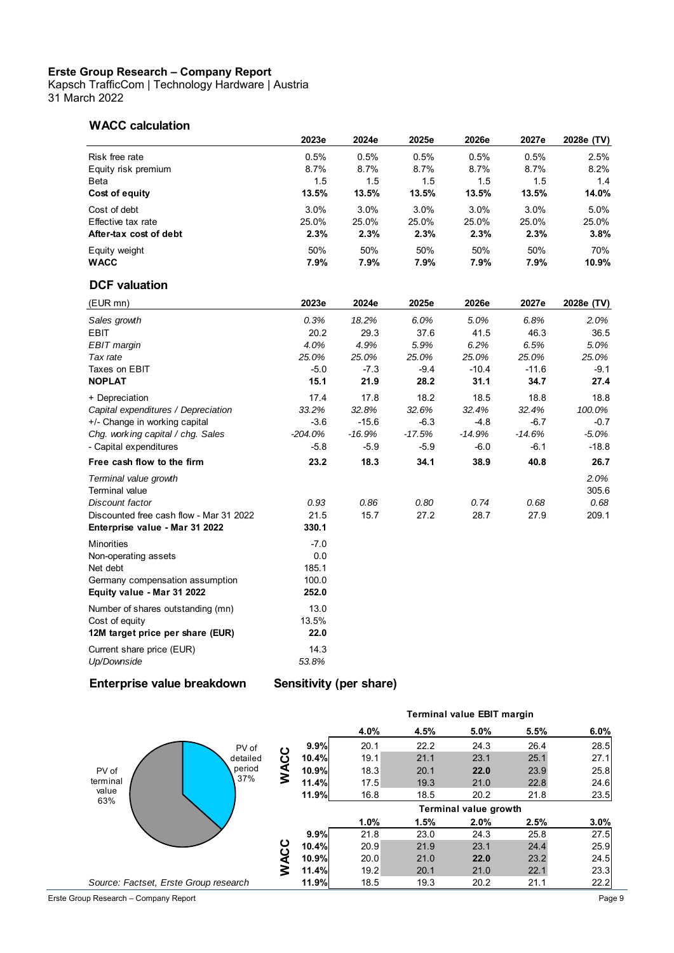Kapsch TrafficCom | Technology Hardware | Austria 31 March 2022

#### **WACC calculation**

| <b>WACC calculation</b>                 | 2023e                   | 2024e    | 2025e    | 2026e    | 2027e   | 2028e (TV) |
|-----------------------------------------|-------------------------|----------|----------|----------|---------|------------|
| Risk free rate                          | 0.5%                    | 0.5%     | 0.5%     | 0.5%     | 0.5%    | 2.5%       |
| Equity risk premium                     | 8.7%                    | 8.7%     | 8.7%     | 8.7%     | 8.7%    | 8.2%       |
| Beta                                    | 1.5                     | 1.5      | 1.5      | 1.5      | 1.5     | 1.4        |
| Cost of equity                          | 13.5%                   | 13.5%    | 13.5%    | 13.5%    | 13.5%   | 14.0%      |
| Cost of debt                            | 3.0%                    | 3.0%     | 3.0%     | 3.0%     | 3.0%    | 5.0%       |
| Effective tax rate                      | 25.0%                   | 25.0%    | 25.0%    | 25.0%    | 25.0%   | 25.0%      |
| After-tax cost of debt                  | 2.3%                    | 2.3%     | 2.3%     | 2.3%     | 2.3%    | 3.8%       |
| Equity weight                           | 50%                     | 50%      | 50%      | 50%      | 50%     | 70%        |
| <b>WACC</b>                             | 7.9%                    | 7.9%     | 7.9%     | 7.9%     | 7.9%    | 10.9%      |
| <b>DCF</b> valuation                    |                         |          |          |          |         |            |
| (EUR mn)                                | 2023e                   | 2024e    | 2025e    | 2026e    | 2027e   | 2028e (TV) |
| Sales growth                            | 0.3%                    | 18.2%    | 6.0%     | 5.0%     | 6.8%    | 2.0%       |
| <b>EBIT</b>                             | 20.2                    | 29.3     | 37.6     | 41.5     | 46.3    | 36.5       |
| EBIT margin                             | 4.0%                    | 4.9%     | 5.9%     | 6.2%     | 6.5%    | 5.0%       |
| Tax rate                                | 25.0%                   | 25.0%    | 25.0%    | 25.0%    | 25.0%   | 25.0%      |
| Taxes on EBIT                           | $-5.0$                  | $-7.3$   | $-9.4$   | $-10.4$  | $-11.6$ | $-9.1$     |
| <b>NOPLAT</b>                           | 15.1                    | 21.9     | 28.2     | 31.1     | 34.7    | 27.4       |
| + Depreciation                          | 17.4                    | 17.8     | 18.2     | 18.5     | 18.8    | 18.8       |
| Capital expenditures / Depreciation     | 33.2%                   | 32.8%    | 32.6%    | 32.4%    | 32.4%   | 100.0%     |
| +/- Change in working capital           | -3.6                    | $-15.6$  | $-6.3$   | $-4.8$   | $-6.7$  | $-0.7$     |
| Chg. working capital / chg. Sales       | $-204.0\%$              | $-16.9%$ | $-17.5%$ | $-14.9%$ | -14.6%  | $-5.0%$    |
| - Capital expenditures                  | $-5.8$                  | $-5.9$   | $-5.9$   | -6.0     | $-6.1$  | $-18.8$    |
| Free cash flow to the firm              | 23.2                    | 18.3     | 34.1     | 38.9     | 40.8    | 26.7       |
| Terminal value growth                   |                         |          |          |          |         | 2.0%       |
| <b>Terminal value</b>                   |                         |          |          |          |         | 305.6      |
| Discount factor                         | 0.93                    | 0.86     | 0.80     | 0.74     | 0.68    | 0.68       |
| Discounted free cash flow - Mar 31 2022 | 21.5                    | 15.7     | 27.2     | 28.7     | 27.9    | 209.1      |
| Enterprise value - Mar 31 2022          | 330.1                   |          |          |          |         |            |
| <b>Minorities</b>                       | $-7.0$                  |          |          |          |         |            |
| Non-operating assets                    | 0.0                     |          |          |          |         |            |
| Net debt                                | 185.1                   |          |          |          |         |            |
| Germany compensation assumption         | 100.0                   |          |          |          |         |            |
| Equity value - Mar 31 2022              | 252.0                   |          |          |          |         |            |
| Number of shares outstanding (mn)       | 13.0                    |          |          |          |         |            |
| Cost of equity                          | 13.5%                   |          |          |          |         |            |
| 12M target price per share (EUR)        | 22.0                    |          |          |          |         |            |
| Current share price (EUR)               | 14.3                    |          |          |          |         |            |
| Up/Downside                             | 53.8%                   |          |          |          |         |            |
| Enterprise value breakdown              | Sensitivity (per share) |          |          |          |         |            |



Erste Group Research – Company Report Page 9

## **4.0% Ferminal value EBIT margin<br>
4.0% 4.5% 5.0% 5.5% 6.0%<br>
20.1 22.2 24.3 26.4 28.5 11.4.0% 19.9% 19.9% 20.1 22.2 24.3 26.4 28.5 26.4 28.5 19.1 21.1 23.1 25.1 25.1 27.1 10.4% 10.4% 10.4% 10.4% 10.4% 10.4% 10.4% 10.4% 10.4% 10.4% 10.4% 10.4% 10.4% 10.4% 10.4% 10.4% 10.4% 10.4% 11.1 21.1 23.1 25.1 25.1 27.1 10.9% 18.3 20.1 22.0 23.9 Terminal value EBIT margin**

**10.4% 10.9% 10.9% 10.9% 10.9% 10.3 10.4% 10.3 10.4% 10.3 10.4% 10.3 10.4% 11.5 10.3 10.3 11.6 11.6 11.6 11.6 11.6 11.6 11.6 11.6 11.6 11.6 11.6 11.6 11.6 11.6 11 11.4%** 19.1 22.2 24.3 26.4 28.5<br> **10.4%** 19.1 21.1 23.1 25.1 27.1<br> **10.9%** 18.3 20.1 **22.0** 23.9 25.8<br> **11.4%** 17.5 19.3 21.0 22.8 24.6<br> **11.9%** 16.8 18.5 20.2 21.8 23.5 **10.4%** 19.1 21.1 23.1 25.1 27.1<br> **10.9%** 18.3 20.1 **22.0** 23.9 25.8<br> **11.4%** 17.5 19.3 21.0 22.8 24.6<br> **11.9%** 16.8 18.5 20.2 21.8 23.5<br> **Terminal value growth** 

**9.9%** 16.8 16.5 20.2 21.8 23.5<br> **1.0% 1.5% 2.0% 2.5% 3.0%**<br> **9.9%** 21.8 23.0 24.3 25.8 27.5<br> **20.9 21.9 23.1 24.4 25.9 1.0%** 1.5% 2.0% 2.5% 3.0%<br> **1.0% 1.5% 2.0% 2.5% 3.0%**<br> **10.4%** 20.9 21.9 23.1 24.4 25.9<br> **10.9%** 20.0 21.0 22.0 23.2 24.5 **1.0% 1.5% 2.0% 2.5% 3.0%**<br> **10.4%** 20.9 21.9 23.1 24.4 25.9<br> **10.9%** 20.0 21.0 **22.0** 23.2 24.5<br> **11.4%** 19.2 20.1 21.0 22.1 23.3 **10.4%** 20.9 21.8 23.0 24.3 25.8 27.5<br> **10.4%** 20.9 21.9 23.1 24.4 25.9<br> **10.9%** 20.0 21.0 **22.0** 23.2 24.5<br> **11.4%** 19.2 20.1 21.0 22.1 23.3<br> **11.9%** 18.5 19.3 20.2 21.1 22.2

**Terminal value growth**

1.0% 1.5.5 2.0 2.1.0 2.1.0 2.1.0<br> **1.0% 1.5% 2.0% 2.5% 3.0%**<br> **1.0% 1.5% 2.0% 2.5% 3.0%**<br>
21.8 23.0 24.3 25.8 27.5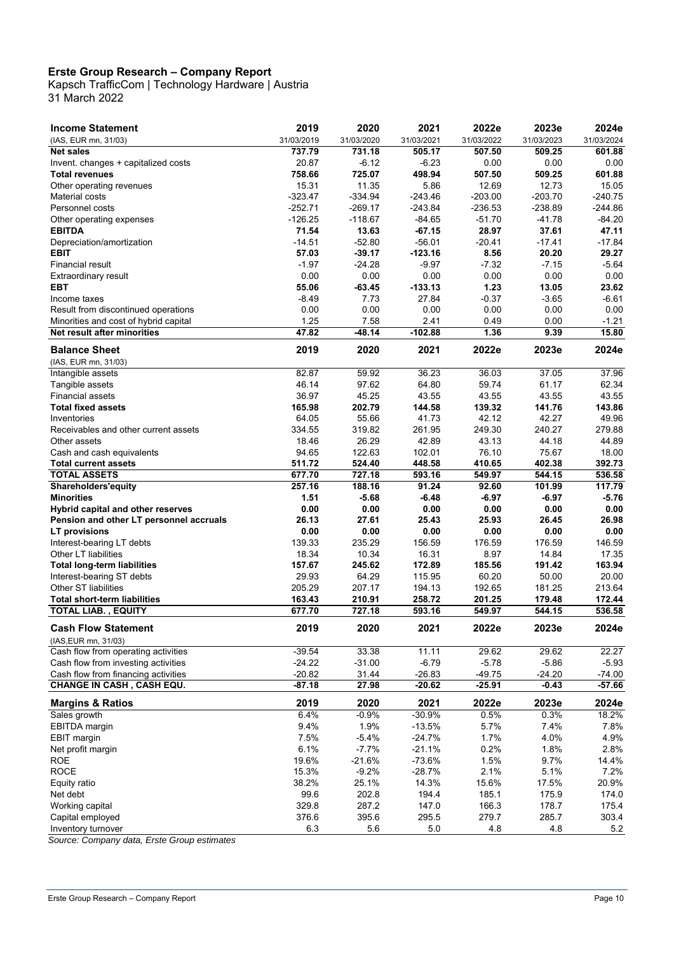Kapsch TrafficCom | Technology Hardware | Austria 31 March 2022

| <b>Income Statement</b>                 | 2019       | 2020       | 2021       | 2022e      | 2023e      | 2024e      |
|-----------------------------------------|------------|------------|------------|------------|------------|------------|
| (IAS, EUR mn, 31/03)                    | 31/03/2019 | 31/03/2020 | 31/03/2021 | 31/03/2022 | 31/03/2023 | 31/03/2024 |
| <b>Net sales</b>                        | 737.79     | 731.18     | 505.17     | 507.50     | 509.25     | 601.88     |
| Invent. changes + capitalized costs     | 20.87      | -6.12      | $-6.23$    | 0.00       | 0.00       | 0.00       |
| <b>Total revenues</b>                   | 758.66     | 725.07     | 498.94     | 507.50     | 509.25     | 601.88     |
| Other operating revenues                | 15.31      | 11.35      | 5.86       | 12.69      | 12.73      | 15.05      |
| Material costs                          | $-323.47$  | $-334.94$  | $-243.46$  | $-203.00$  | $-203.70$  | $-240.75$  |
| Personnel costs                         | $-252.71$  | $-269.17$  | $-243.84$  | $-236.53$  | $-238.89$  | $-244.86$  |
| Other operating expenses                | $-126.25$  | $-118.67$  | $-84.65$   | $-51.70$   | $-41.78$   | $-84.20$   |
| <b>EBITDA</b>                           | 71.54      | 13.63      | $-67.15$   | 28.97      | 37.61      | 47.11      |
| Depreciation/amortization               | $-14.51$   | $-52.80$   | $-56.01$   | $-20.41$   | $-17.41$   | $-17.84$   |
| <b>EBIT</b>                             | 57.03      | $-39.17$   | $-123.16$  | 8.56       | 20.20      | 29.27      |
| Financial result                        | $-1.97$    | $-24.28$   | $-9.97$    | $-7.32$    | $-7.15$    | $-5.64$    |
| Extraordinary result                    | 0.00       | 0.00       | 0.00       | 0.00       | 0.00       | 0.00       |
| <b>EBT</b>                              | 55.06      | $-63.45$   | $-133.13$  | 1.23       | 13.05      | 23.62      |
| Income taxes                            | $-8.49$    | 7.73       | 27.84      | $-0.37$    | $-3.65$    | $-6.61$    |
| Result from discontinued operations     | 0.00       | 0.00       | 0.00       | 0.00       | 0.00       | 0.00       |
| Minorities and cost of hybrid capital   | 1.25       | 7.58       | 2.41       | 0.49       | 0.00       | $-1.21$    |
| <b>Net result after minorities</b>      | 47.82      | $-48.14$   | $-102.88$  | 1.36       | 9.39       | 15.80      |
| <b>Balance Sheet</b>                    | 2019       | 2020       | 2021       | 2022e      | 2023e      | 2024e      |
| (IAS, EUR mn, 31/03)                    |            |            |            |            |            |            |
| Intangible assets                       | 82.87      | 59.92      | 36.23      | 36.03      | 37.05      | 37.96      |
| Tangible assets                         | 46.14      | 97.62      | 64.80      | 59.74      | 61.17      | 62.34      |
| Financial assets                        | 36.97      | 45.25      | 43.55      | 43.55      | 43.55      | 43.55      |
| <b>Total fixed assets</b>               | 165.98     | 202.79     | 144.58     | 139.32     | 141.76     | 143.86     |
| Inventories                             | 64.05      | 55.66      | 41.73      | 42.12      | 42.27      | 49.96      |
| Receivables and other current assets    | 334.55     | 319.82     | 261.95     | 249.30     | 240.27     | 279.88     |
| Other assets                            | 18.46      | 26.29      | 42.89      | 43.13      | 44.18      | 44.89      |
| Cash and cash equivalents               | 94.65      | 122.63     | 102.01     | 76.10      | 75.67      | 18.00      |
| <b>Total current assets</b>             | 511.72     | 524.40     | 448.58     | 410.65     | 402.38     | 392.73     |
| <b>TOTAL ASSETS</b>                     | 677.70     | 727.18     | 593.16     | 549.97     | 544.15     | 536.58     |
| <b>Shareholders'equity</b>              | 257.16     | 188.16     | 91.24      | 92.60      | 101.99     | 117.79     |
| <b>Minorities</b>                       | 1.51       | -5.68      | $-6.48$    | $-6.97$    | -6.97      | $-5.76$    |
| Hybrid capital and other reserves       | 0.00       | 0.00       | 0.00       | 0.00       | 0.00       | 0.00       |
| Pension and other LT personnel accruals | 26.13      | 27.61      | 25.43      | 25.93      | 26.45      | 26.98      |
| <b>LT</b> provisions                    | 0.00       | 0.00       | 0.00       | 0.00       | 0.00       | 0.00       |
| Interest-bearing LT debts               | 139.33     | 235.29     | 156.59     | 176.59     | 176.59     | 146.59     |
| Other LT liabilities                    | 18.34      | 10.34      | 16.31      | 8.97       | 14.84      | 17.35      |
| <b>Total long-term liabilities</b>      | 157.67     | 245.62     | 172.89     | 185.56     | 191.42     | 163.94     |
| Interest-bearing ST debts               | 29.93      | 64.29      | 115.95     | 60.20      | 50.00      | 20.00      |
| <b>Other ST liabilities</b>             | 205.29     | 207.17     | 194.13     | 192.65     | 181.25     | 213.64     |
| <b>Total short-term liabilities</b>     | 163.43     | 210.91     | 258.72     | 201.25     | 179.48     | 172.44     |
| <b>TOTAL LIAB., EQUITY</b>              | 677.70     | 727.18     | 593.16     | 549.97     | 544.15     | 536.58     |
| <b>Cash Flow Statement</b>              | 2019       | 2020       | 2021       | 2022e      | 2023e      | 2024e      |
| (IAS, EUR mn, 31/03)                    |            |            |            |            |            |            |
| Cash flow from operating activities     | $-39.54$   | 33.38      | 11.11      | 29.62      | 29.62      | 22.27      |
| Cash flow from investing activities     | $-24.22$   | $-31.00$   | $-6.79$    | $-5.78$    | $-5.86$    | $-5.93$    |
| Cash flow from financing activities     | $-20.82$   | 31.44      | $-26.83$   | $-49.75$   | $-24.20$   | $-74.00$   |
| <b>CHANGE IN CASH, CASH EQU.</b>        | $-87.18$   | 27.98      | $-20.62$   | $-25.91$   | $-0.43$    | $-57.66$   |
| <b>Margins &amp; Ratios</b>             | 2019       | 2020       | 2021       | 2022e      | 2023e      | 2024e      |
| Sales growth                            | 6.4%       | $-0.9%$    | $-30.9%$   | 0.5%       | 0.3%       | 18.2%      |
| <b>EBITDA</b> margin                    | 9.4%       | 1.9%       | $-13.5%$   | 5.7%       | 7.4%       | 7.8%       |
| EBIT margin                             | 7.5%       | $-5.4%$    | $-24.7%$   | 1.7%       | 4.0%       | 4.9%       |
| Net profit margin                       | 6.1%       | $-7.7%$    | $-21.1%$   | 0.2%       | 1.8%       | 2.8%       |
| <b>ROE</b>                              | 19.6%      | $-21.6%$   | $-73.6%$   | 1.5%       | 9.7%       | 14.4%      |
| <b>ROCE</b>                             | 15.3%      | $-9.2%$    | $-28.7%$   | 2.1%       | 5.1%       | 7.2%       |
| Equity ratio                            | 38.2%      | 25.1%      | 14.3%      | 15.6%      | 17.5%      | 20.9%      |
| Net debt                                | 99.6       | 202.8      | 194.4      | 185.1      | 175.9      | 174.0      |
| Working capital                         | 329.8      | 287.2      | 147.0      | 166.3      | 178.7      | 175.4      |
| Capital employed                        | 376.6      | 395.6      | 295.5      | 279.7      | 285.7      | 303.4      |
| Inventory turnover                      | 6.3        | 5.6        | 5.0        | 4.8        | 4.8        | 5.2        |

*Source: Company data, Erste Group estimates*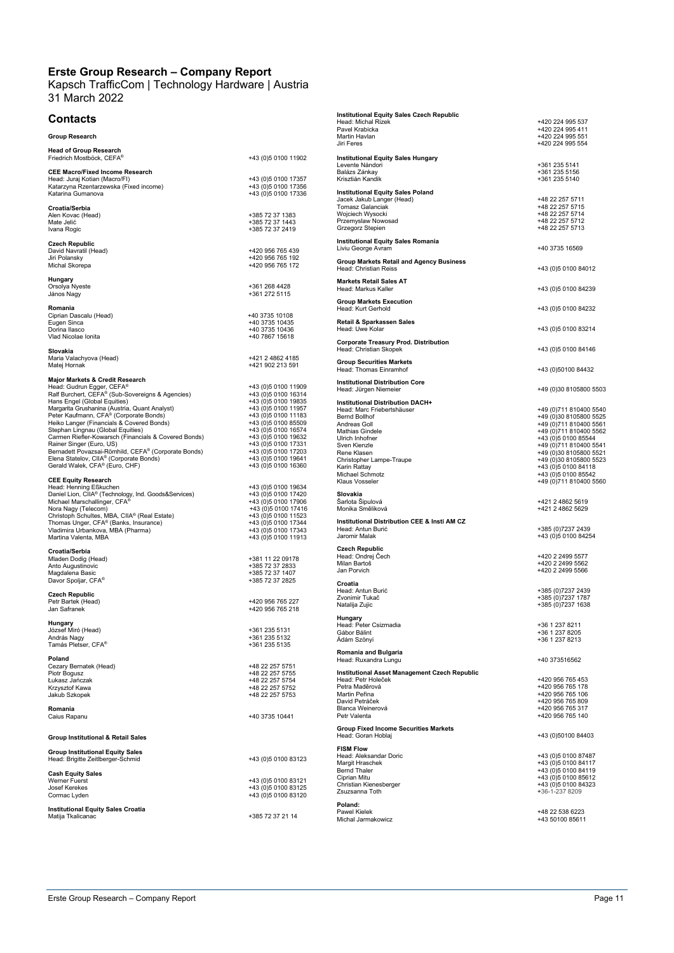#### Kapsch TrafficCom | Technology Hardware | Austria 31 March 2022

Eugen Sinca +40 3735 10435 Dorina Ilasco +40 3735 10436

 $+43$  (0)5 0100 19632<br>+43 (0)5 0100 17331<br>+43 (0)5 0100 17203<br>+43 (0)5 0100 19641

+385 72 37 2833<br>+385 72 37 1407<br>+385 72 37 2825

Caius Rapanu +40 3735 10441

+43 (0)5 0100 83123

#### **Contacts**

| <b>Group Research</b>                                      |                     |
|------------------------------------------------------------|---------------------|
| <b>Head of Group Research</b><br>Friedrich Mostböck, CEFA® | +43 (0)5 0100 11902 |
| <b>CEE Macro/Fixed Income Research</b>                     |                     |
| Head: Juraj Kotian (Macro/FI)                              | +43 (0)5 0100 17357 |
| Katarzyna Rzentarzewska (Fixed income)                     | +43 (0)5 0100 17356 |
| Katarina Gumanova                                          | +43 (0)5 0100 17336 |
| Croatia/Serbia                                             |                     |
| Alen Kovac (Head)                                          | +385 72 37 1383     |

Mate Jelić +385 72 37 1443 Ivana Rogic +385 72 37 2419 **Czech Republic**<br>David Navratil (Head) +420 956 765 439 Jiri Polansky +420 956 765 192 Michal Skorepa +420 956 765 172

**Hungary** Orsolya Nyeste +361 268 4428 János Nagy +361 272 5115

**Romania**<br>Ciprian Dascalu (Head) +40 3735 10108

Vlad Nicolae Ionita +40 7867 15618 **Slovakia** Maria Valachyova (Head) +421 2 4862 4185 Matej Hornak +421 902 213 591

#### **Major Markets & Credit Research**

Head: Gudrun Egger, CEFA®<br>Ralf Burchert, CEFA® (Sub-Sovereigns & Agencies) +43 (0)5 0100 16314 Ralf Burchert, CEFA® (Sub-Sovereigns & Agencies)<br>
Hans Engel (Global Equities)<br>
Margarita Grushanina (Austria, Quant Analyst)<br>
Peter Kaufmann, CFA® (Corporate Bonds)<br>
Heiko Langer (Financials & Covered Bonds)<br>
Heiko Langer

#### **CEE Equity Research**

Head: Henning Eßkuchen<br>
Daniel Lion, CIIA® (Technology, Ind. Goods&Services)<br>
Michael Marschallinger, CFA®<br>
Michael Marschallinger, CFA®<br>
Aristoph Schuttes, MBA, CIIA® (Real Estate)<br>
Christoph Schuttes, MBA, CIIA® (Real E

**Croatia/Serbia**<br>Mladen Dodig (Head) +381 11 22 09178 Miaderi Dodig (116)<br>Anto Augustinovic<br>Maadalena Basic

Davor Spoljar, CFA® **Czech Republic**

Petr Bartek (Head) +420 956 765 227 Jan Safranek +420 956 765 218

**Hungary** József Miró (Head) +361 235 5131 András Nagy +361 235 5132 Tamás Pletser, CFA® +361 235 5135

**Poland** Cezary Bernatek (Head) +48 22 257 5751 Piotr Bogusz +48 22 257 5755 • uanu amin'ny faritr'i Normandie, amin'ny faritr'i Normandie, ao amin'ny faritr'i Normandie, ao amin'ny faritr'i Normandie, ao amin'ny faritr'i Normandie, ao amin'ny faritr'i Normandie, ao Frantsa.<br>Ny faritr'i Normandie

Krzysztof Kawa +48 22 257 5752 Jakub Szkopek +48 22 257 5753 **Romania**

#### **Group Institutional & Retail Sales**

| <b>Group Institutional Equity Sales</b><br>Head: Brigitte ZeitIberger-Schmid |  |
|------------------------------------------------------------------------------|--|
| <b>Cash Fouity Sales</b>                                                     |  |

**Cash Equity**<br>
Werner Fuerst<br>
Josef Kerekes Werner Fuerst<br>Josef Kerekes + +43 (0)5 0100 83121<br>Cormac Lyden +43 (0)5 0100 83120

**Institutional Equity Sales Croatia**<br>Matija Tkalicanac

| Institutional Equity Sales Czech Republic<br>Head: Michal Rizek   | +420 224 995 537                              |
|-------------------------------------------------------------------|-----------------------------------------------|
| Pavel Krabicka                                                    | +420 224 995 411                              |
| Martin Havlan                                                     | +420 224 995 551                              |
| Jiri Feres                                                        | +420 224 995 554                              |
| <b>Institutional Equity Sales Hungary</b>                         |                                               |
| Levente Nándori                                                   | +361 235 5141                                 |
| Balázs Zánkay<br>Krisztián Kandik                                 | +361 235 5156<br>+361 235 5140                |
|                                                                   |                                               |
| <b>Institutional Equity Sales Poland</b>                          |                                               |
| Jacek Jakub Langer (Head)<br>Tomasz Galanciak                     | +48 22 257 5711<br>+48 22 257 5715            |
| Wojciech Wysocki                                                  | +48 22 257 5714                               |
| Przemyslaw Nowosad                                                | +48 22 257 5712                               |
| Grzegorz Stepien                                                  | +48 22 257 5713                               |
| <b>Institutional Equity Sales Romania</b>                         |                                               |
| Liviu George Avram                                                | +40 3735 16569                                |
| <b>Group Markets Retail and Agency Business</b>                   |                                               |
| Head: Christian Reiss                                             | +43 (0)5 0100 84012                           |
| <b>Markets Retail Sales AT</b>                                    |                                               |
| Head: Markus Kaller                                               | +43 (0)5 0100 84239                           |
| <b>Group Markets Execution</b>                                    |                                               |
| Head: Kurt Gerhold                                                | +43 (0)5 0100 84232                           |
| Retail & Sparkassen Sales                                         |                                               |
| Head: Uwe Kolar                                                   | +43 (0)5 0100 83214                           |
| <b>Corporate Treasury Prod. Distribution</b>                      |                                               |
| Head: Christian Skopek                                            | +43 (0)5 0100 84146                           |
| <b>Group Securities Markets</b>                                   |                                               |
| Head: Thomas Einramhof                                            | +43 (0)50100 84432                            |
|                                                                   |                                               |
| <b>Institutional Distribution Core</b><br>Head: Jürgen Niemeier   | +49 (0)30 8105800 5503                        |
|                                                                   |                                               |
| Institutional Distribution DACH+<br>Head: Marc Friebertshäuser    | +49 (0)711 810400 5540                        |
| <b>Bernd Bollhof</b>                                              | +49 (0)30 8105800 5525                        |
| Andreas Goll                                                      | +49 (0)711 810400 5561                        |
| Mathias Gindele                                                   | +49 (0)711 810400 5562                        |
| Ulrich Inhofner<br>Sven Kienzle                                   | +43 (0)5 0100 85544<br>+49 (0)711 810400 5541 |
| Rene Klasen                                                       | +49 (0)30 8105800 5521                        |
| Christopher Lampe-Traupe                                          | +49 (0)30 8105800 5523                        |
| Karin Rattay                                                      | +43 (0)5 0100 84118                           |
| Michael Schmotz<br>Klaus Vosseler                                 | +43 (0)5 0100 85542<br>+49 (0)711 810400 5560 |
|                                                                   |                                               |
| Slovakia<br>Šarlota Šipulová                                      | +421 2 4862 5619                              |
| Monika Směliková                                                  | +421 2 4862 5629                              |
|                                                                   |                                               |
| Institutional Distribution CEE & Insti AM CZ<br>Head: Antun Burić | +385 (0)7237 2439                             |
| Jaromir Malak                                                     | +43 (0)5 0100 84254                           |
| <b>Czech Republic</b>                                             |                                               |
| Head: Ondrej Cech                                                 | +420 2 2499 5577                              |
| Milan Bartoš                                                      | +420 2 2499 5562                              |
| Jan Porvich                                                       | +420 2 2499 5566                              |
| Croatia                                                           |                                               |
| Head: Antun Burić                                                 | +385 (0)7237 2439                             |
| Zvonimir Tukač<br>Natalija Zujic                                  | +385 (0)7237 1787<br>+385 (0)7237 1638        |
|                                                                   |                                               |
| Hungary<br>Head: Peter Csizmadia                                  | +36 1 237 8211                                |
| Gábor Bálint                                                      | +36 1 237 8205                                |
| Adám Szönyi                                                       | +36 1 237 8213                                |
| Romania and Bulgaria                                              |                                               |
| Head: Ruxandra Lungu                                              | +40 373516562                                 |
| Institutional Asset Management Czech Republic                     |                                               |
| Head: Petr Holeček                                                | +420 956 765 453                              |
| Petra Maděrová                                                    | +420 956 765 178                              |
| Martin Peřina<br>David Petráček                                   | +420 956 765 106<br>+420 956 765 809          |
| Blanca Weinerová                                                  | +420 956 765 317                              |
| Petr Valenta                                                      | +420 956 765 140                              |
| <b>Group Fixed Income Securities Markets</b>                      |                                               |
| Head: Goran Hoblaj                                                | +43 (0)50100 84403                            |
|                                                                   |                                               |

**FISM Flow<br>Head: Aleksandar Doric ++43 (0)5 0100 87487<br>Margit Hraschek +43 (0)5 0100 84117<br>Bernd Thaler ++43 (0)5 0100 84119** Ciprian Mitu +43 (0)5 0100 85612 Christian Kienesberger +43 (0)5 0100 84323 Exerius Transition and the City of City of City of City of City of City of City of City of City of City of City<br>Christian Kienesberger (2000 1000 84323<br>Zsuzsanna Toth (2007 1000 1000 84323 1302/3 1304 1304 1304 1304 1305

**Poland:**<br>Pawel Kielek Hawel Record<br>Michal Jarmakowicz

+48 22 538 6223<br>+43 50100 85611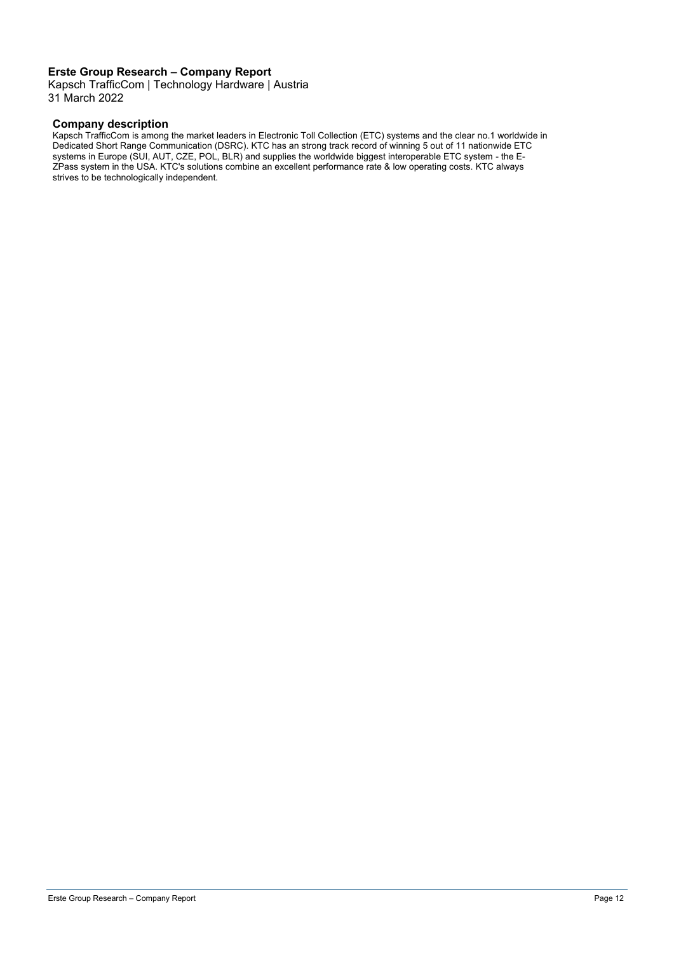Kapsch TrafficCom | Technology Hardware | Austria 31 March 2022

#### **Company description**

Kapsch TrafficCom is among the market leaders in Electronic Toll Collection (ETC) systems and the clear no.1 worldwide in Dedicated Short Range Communication (DSRC). KTC has an strong track record of winning 5 out of 11 nationwide ETC systems in Europe (SUI, AUT, CZE, POL, BLR) and supplies the worldwide biggest interoperable ETC system - the E-ZPass system in the USA. KTC's solutions combine an excellent performance rate & low operating costs. KTC always strives to be technologically independent.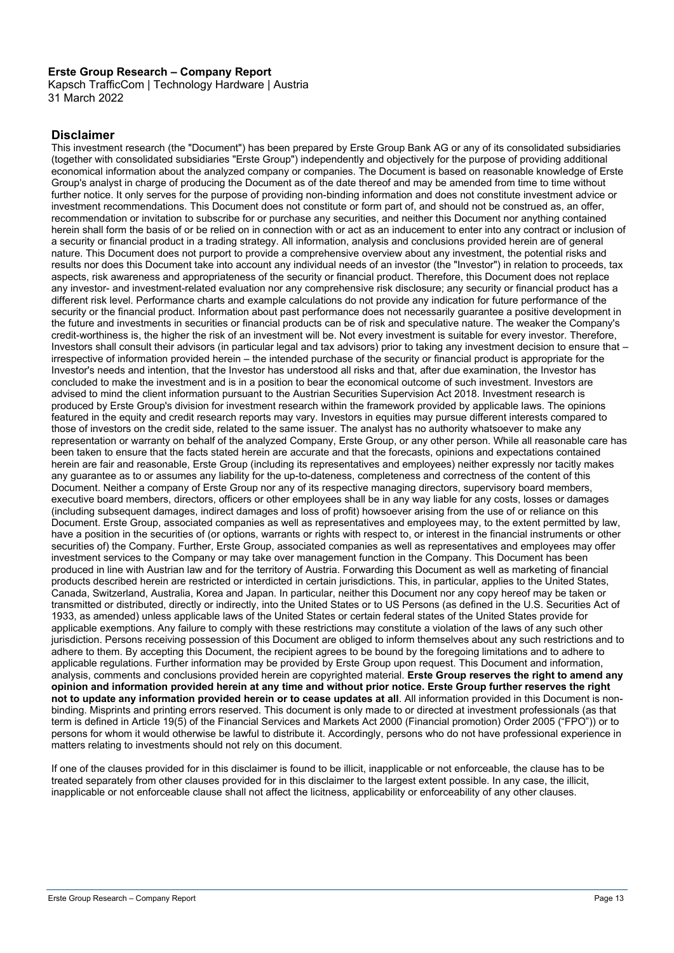Kapsch TrafficCom | Technology Hardware | Austria 31 March 2022

#### **Disclaimer**

This investment research (the "Document") has been prepared by Erste Group Bank AG or any of its consolidated subsidiaries (together with consolidated subsidiaries "Erste Group") independently and objectively for the purpose of providing additional economical information about the analyzed company or companies. The Document is based on reasonable knowledge of Erste Group's analyst in charge of producing the Document as of the date thereof and may be amended from time to time without further notice. It only serves for the purpose of providing non-binding information and does not constitute investment advice or investment recommendations. This Document does not constitute or form part of, and should not be construed as, an offer, recommendation or invitation to subscribe for or purchase any securities, and neither this Document nor anything contained herein shall form the basis of or be relied on in connection with or act as an inducement to enter into any contract or inclusion of a security or financial product in a trading strategy. All information, analysis and conclusions provided herein are of general nature. This Document does not purport to provide a comprehensive overview about any investment, the potential risks and results nor does this Document take into account any individual needs of an investor (the "Investor") in relation to proceeds, tax aspects, risk awareness and appropriateness of the security or financial product. Therefore, this Document does not replace any investor- and investment-related evaluation nor any comprehensive risk disclosure; any security or financial product has a different risk level. Performance charts and example calculations do not provide any indication for future performance of the security or the financial product. Information about past performance does not necessarily guarantee a positive development in the future and investments in securities or financial products can be of risk and speculative nature. The weaker the Company's credit-worthiness is, the higher the risk of an investment will be. Not every investment is suitable for every investor. Therefore, Investors shall consult their advisors (in particular legal and tax advisors) prior to taking any investment decision to ensure that – irrespective of information provided herein – the intended purchase of the security or financial product is appropriate for the Investor's needs and intention, that the Investor has understood all risks and that, after due examination, the Investor has concluded to make the investment and is in a position to bear the economical outcome of such investment. Investors are advised to mind the client information pursuant to the Austrian Securities Supervision Act 2018. Investment research is produced by Erste Group's division for investment research within the framework provided by applicable laws. The opinions featured in the equity and credit research reports may vary. Investors in equities may pursue different interests compared to those of investors on the credit side, related to the same issuer. The analyst has no authority whatsoever to make any representation or warranty on behalf of the analyzed Company, Erste Group, or any other person. While all reasonable care has been taken to ensure that the facts stated herein are accurate and that the forecasts, opinions and expectations contained herein are fair and reasonable, Erste Group (including its representatives and employees) neither expressly nor tacitly makes any guarantee as to or assumes any liability for the up-to-dateness, completeness and correctness of the content of this Document. Neither a company of Erste Group nor any of its respective managing directors, supervisory board members, executive board members, directors, officers or other employees shall be in any way liable for any costs, losses or damages (including subsequent damages, indirect damages and loss of profit) howsoever arising from the use of or reliance on this Document. Erste Group, associated companies as well as representatives and employees may, to the extent permitted by law, have a position in the securities of (or options, warrants or rights with respect to, or interest in the financial instruments or other securities of) the Company. Further, Erste Group, associated companies as well as representatives and employees may offer investment services to the Company or may take over management function in the Company. This Document has been produced in line with Austrian law and for the territory of Austria. Forwarding this Document as well as marketing of financial products described herein are restricted or interdicted in certain jurisdictions. This, in particular, applies to the United States, Canada, Switzerland, Australia, Korea and Japan. In particular, neither this Document nor any copy hereof may be taken or transmitted or distributed, directly or indirectly, into the United States or to US Persons (as defined in the U.S. Securities Act of 1933, as amended) unless applicable laws of the United States or certain federal states of the United States provide for applicable exemptions. Any failure to comply with these restrictions may constitute a violation of the laws of any such other jurisdiction. Persons receiving possession of this Document are obliged to inform themselves about any such restrictions and to adhere to them. By accepting this Document, the recipient agrees to be bound by the foregoing limitations and to adhere to applicable regulations. Further information may be provided by Erste Group upon request. This Document and information, analysis, comments and conclusions provided herein are copyrighted material. **Erste Group reserves the right to amend any opinion and information provided herein at any time and without prior notice. Erste Group further reserves the right not to update any information provided herein or to cease updates at all**. All information provided in this Document is nonbinding. Misprints and printing errors reserved. This document is only made to or directed at investment professionals (as that term is defined in Article 19(5) of the Financial Services and Markets Act 2000 (Financial promotion) Order 2005 ("FPO")) or to persons for whom it would otherwise be lawful to distribute it. Accordingly, persons who do not have professional experience in matters relating to investments should not rely on this document.

If one of the clauses provided for in this disclaimer is found to be illicit, inapplicable or not enforceable, the clause has to be treated separately from other clauses provided for in this disclaimer to the largest extent possible. In any case, the illicit, inapplicable or not enforceable clause shall not affect the licitness, applicability or enforceability of any other clauses.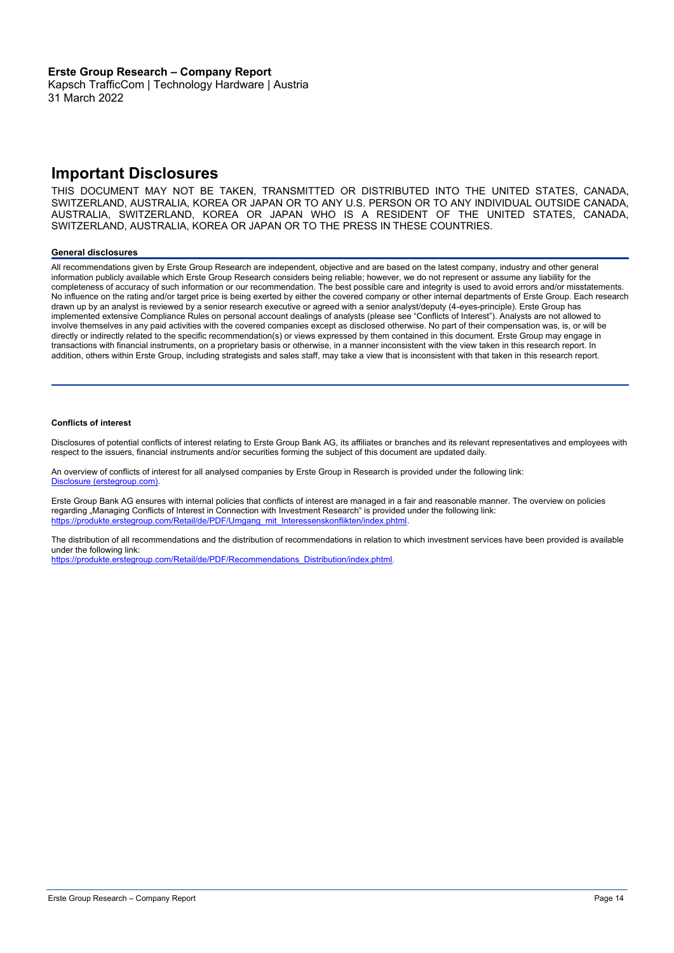Kapsch TrafficCom | Technology Hardware | Austria 31 March 2022

### **Important Disclosures**

THIS DOCUMENT MAY NOT BE TAKEN, TRANSMITTED OR DISTRIBUTED INTO THE UNITED STATES, CANADA, SWITZERLAND, AUSTRALIA, KOREA OR JAPAN OR TO ANY U.S. PERSON OR TO ANY INDIVIDUAL OUTSIDE CANADA, AUSTRALIA, SWITZERLAND, KOREA OR JAPAN WHO IS A RESIDENT OF THE UNITED STATES, CANADA, SWITZERLAND, AUSTRALIA, KOREA OR JAPAN OR TO THE PRESS IN THESE COUNTRIES.

#### **General disclosures**

All recommendations given by Erste Group Research are independent, objective and are based on the latest company, industry and other general information publicly available which Erste Group Research considers being reliable; however, we do not represent or assume any liability for the completeness of accuracy of such information or our recommendation. The best possible care and integrity is used to avoid errors and/or misstatements. No influence on the rating and/or target price is being exerted by either the covered company or other internal departments of Erste Group. Each research drawn up by an analyst is reviewed by a senior research executive or agreed with a senior analyst/deputy (4-eyes-principle). Erste Group has implemented extensive Compliance Rules on personal account dealings of analysts (please see "Conflicts of Interest"). Analysts are not allowed to involve themselves in any paid activities with the covered companies except as disclosed otherwise. No part of their compensation was, is, or will be directly or indirectly related to the specific recommendation(s) or views expressed by them contained in this document. Erste Group may engage in transactions with financial instruments, on a proprietary basis or otherwise, in a manner inconsistent with the view taken in this research report. In addition, others within Erste Group, including strategists and sales staff, may take a view that is inconsistent with that taken in this research report.

#### **Conflicts of interest**

**Disclosure Checklist**

Disclosures of potential conflicts of interest relating to Erste Group Bank AG, its affiliates or branches and its relevant representatives and employees with respect to the issuers, financial instruments and/or securities forming the subject of this document are updated daily.

An overview of conflicts of interest for all analysed companies by Erste Group in Research is provided under the following link: Disclosure (erstegroup.com)

Erste Group Bank AG ensures with internal policies that conflicts of interest are managed in a fair and reasonable manner. The overview on policies regarding "Managing Conflicts of Interest in Connection with Investment Research" is provided under the following link: [https://produkte.erstegroup.com/Retail/de/PDF/Umgang\\_mit\\_Interessenskonflikten/index.phtml.](https://produkte.erstegroup.com/Retail/de/PDF/Umgang_mit_Interessenskonflikten/index.phtml)

The distribution of all recommendations and the distribution of recommendations in relation to which investment services have been provided is available under the following link:

[https://produkte.erstegroup.com/Retail/de/PDF/Recommendations\\_Distribution/index.phtml.](https://produkte.erstegroup.com/Retail/de/PDF/Recommendations_Distribution/index.phtml)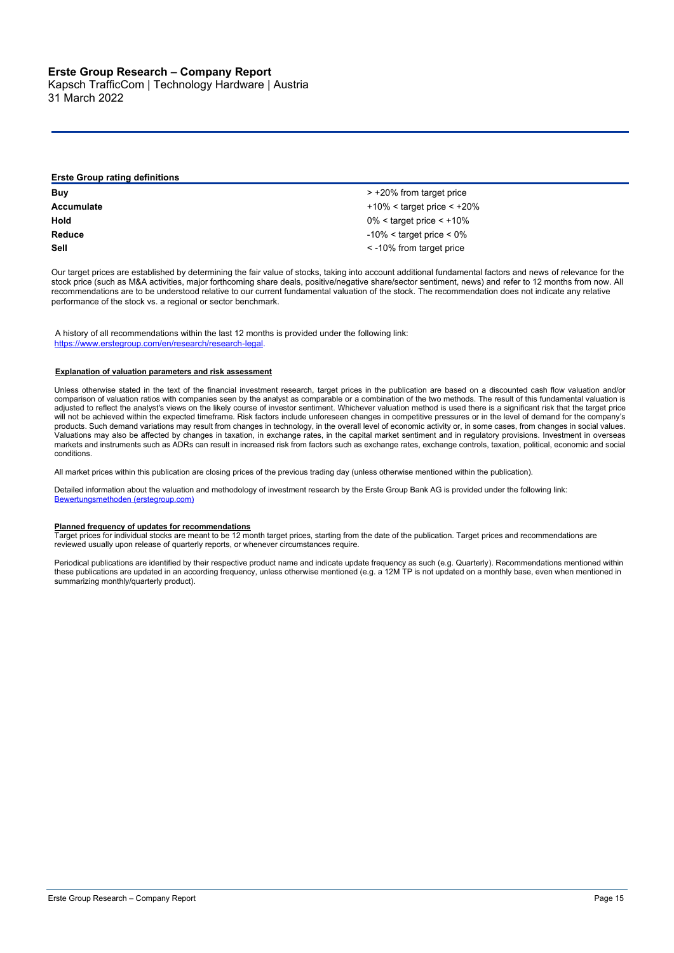**Description of specific disclosures**

Kapsch TrafficCom | Technology Hardware | Austria 31 March 2022

| <b>Erste Group rating definitions</b> |                                  |  |  |
|---------------------------------------|----------------------------------|--|--|
| Buy                                   | > +20% from target price         |  |  |
| Accumulate                            | $+10\%$ < target price < $+20\%$ |  |  |
| Hold                                  | $0\%$ < target price < +10%      |  |  |
| Reduce                                | $-10\% <$ target price $< 0\%$   |  |  |
| Sell                                  | < -10% from target price         |  |  |

Our target prices are established by determining the fair value of stocks, taking into account additional fundamental factors and news of relevance for the stock price (such as M&A activities, major forthcoming share deals, positive/negative share/sector sentiment, news) and refer to 12 months from now. All recommendations are to be understood relative to our current fundamental valuation of the stock. The recommendation does not indicate any relative performance of the stock vs. a regional or sector benchmark.

A history of all recommendations within the last 12 months is provided under the following link: [https://www.erstegroup.com/en/research/research-legal.](https://www.erstegroup.com/en/research/research-legal)

#### **Explanation of valuation parameters and risk assessment**

Unless otherwise stated in the text of the financial investment research, target prices in the publication are based on a discounted cash flow valuation and/or comparison of valuation ratios with companies seen by the analyst as comparable or a combination of the two methods. The result of this fundamental valuation is adjusted to reflect the analyst's views on the likely course of investor sentiment. Whichever valuation method is used there is a significant risk that the target price will not be achieved within the expected timeframe. Risk factors include unforeseen changes in competitive pressures or in the level of demand for the company's products. Such demand variations may result from changes in technology, in the overall level of economic activity or, in some cases, from changes in social values. Valuations may also be affected by changes in taxation, in exchange rates, in the capital market sentiment and in regulatory provisions. Investment in overseas markets and instruments such as ADRs can result in increased risk from factors such as exchange rates, exchange controls, taxation, political, economic and social conditions.

All market prices within this publication are closing prices of the previous trading day (unless otherwise mentioned within the publication).

Detailed information about the valuation and methodology of investment research by the Erste Group Bank AG is provided under the following link: [Bewertungsmethoden \(erstegroup.com\)](https://produkte.erstegroup.com/Retail/de/PDF/Bewertungsmethoden/index.phtml)

#### **Planned frequency of updates for recommendations**

Target prices for individual stocks are meant to be 12 month target prices, starting from the date of the publication. Target prices and recommendations are reviewed usually upon release of quarterly reports, or whenever circumstances require.

Periodical publications are identified by their respective product name and indicate update frequency as such (e.g. Quarterly). Recommendations mentioned within these publications are updated in an according frequency, unless otherwise mentioned (e.g. a 12M TP is not updated on a monthly base, even when mentioned in summarizing monthly/quarterly product).